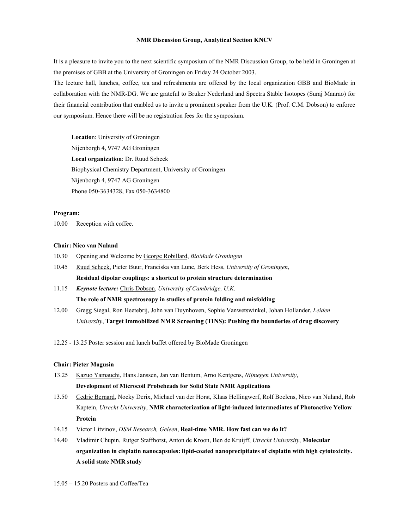# **NMR Discussion Group, Analytical Section KNCV**

It is a pleasure to invite you to the next scientific symposium of the NMR Discussion Group, to be held in Groningen at the premises of GBB at the University of Groningen on Friday 24 October 2003.

The lecture hall, lunches, coffee, tea and refreshments are offered by the local organization GBB and BioMade in collaboration with the NMR-DG. We are grateful to Bruker Nederland and Spectra Stable Isotopes (Suraj Manrao) for their financial contribution that enabled us to invite a prominent speaker from the U.K. (Prof. C.M. Dobson) to enforce our symposium. Hence there will be no registration fees for the symposium.

**Locatio**n: University of Groningen Nijenborgh 4, 9747 AG Groningen **Local organization**: Dr. Ruud Scheek Biophysical Chemistry Department, University of Groningen Nijenborgh 4, 9747 AG Groningen Phone 050-3634328, Fax 050-3634800

# **Program:**

10.00 Reception with coffee.

# **Chair: Nico van Nuland**

- 10.30 Opening and Welcome by George Robillard, *BioMade Groningen*
- 10.45 Ruud Scheek, Pieter Buur, Franciska van Lune, Berk Hess, *University of Groningen*, **Residual dipolar couplings: a shortcut to protein structure determination**
- 11.15 *Keynote lecture:* Chris Dobson, *University of Cambridge, U.K*. **The role of NMR spectroscopy in studies of protein** f**olding and misfolding**
- 12.00 Gregg Siegal, Ron Heetebrij, John van Duynhoven, Sophie Vanwetswinkel, Johan Hollander, *Leiden University*, **Target Immobilized NMR Screening (TINS): Pushing the bounderies of drug discovery**
- 12.25 13.25 Poster session and lunch buffet offered by BioMade Groningen

# **Chair: Pieter Magusin**

- 13.25 Kazuo Yamauchi, Hans Janssen, Jan van Bentum, Arno Kentgens, *Nijmegen University*, **Development of Microcoil Probeheads for Solid State NMR Applications**
- 13.50 Cedric Bernard, Nocky Derix, Michael van der Horst, Klaas Hellingwerf, Rolf Boelens, Nico van Nuland, Rob Kaptein, *Utrecht University*, **NMR characterization of light-induced intermediates of Photoactive Yellow Protein**
- 14.15 Victor Litvinov, *DSM Research, Geleen*, **Real-time NMR. How fast can we do it?**
- 14.40 Vladimir Chupin, Rutger Staffhorst, Anton de Kroon, Ben de Kruijff, *Utrecht University*, **Molecular organization in cisplatin nanocapsules: lipid-coated nanoprecipitates of cisplatin with high cytotoxicity. A solid state NMR study**
- 15.05 15.20 Posters and Coffee/Tea